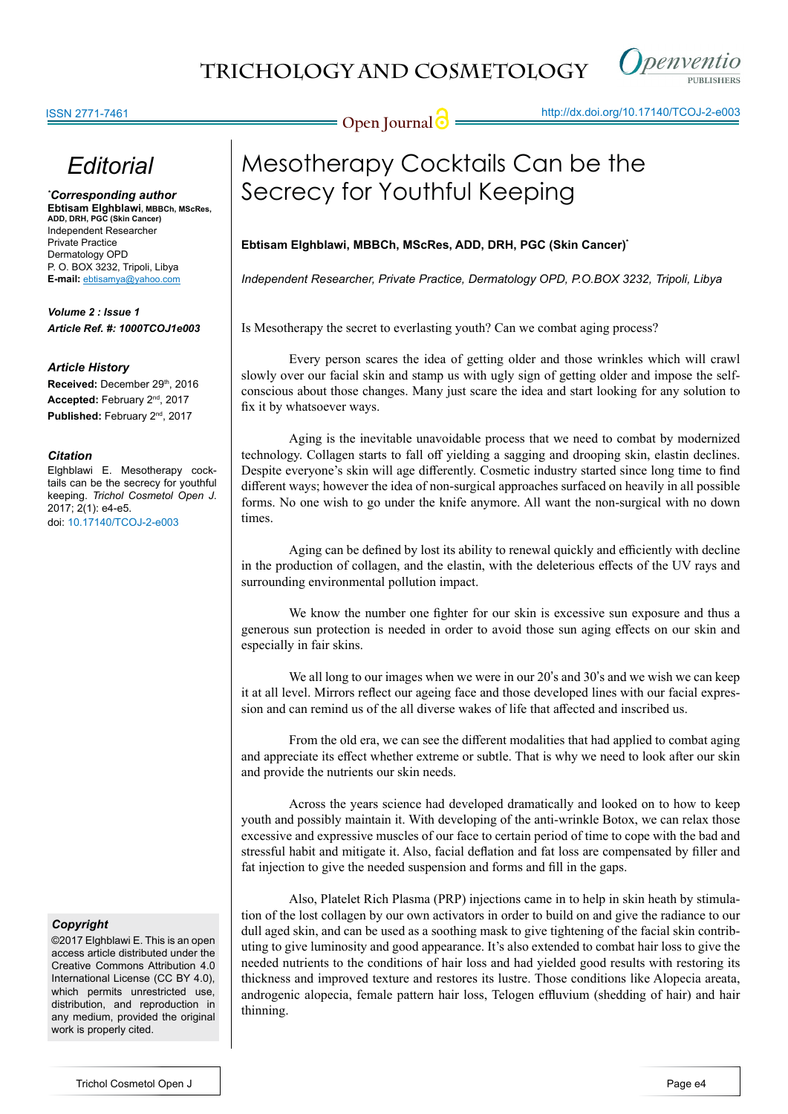

# *Editorial*

*\* Corresponding author* **Ebtisam Elghblawi, MBBCh, MScRes, ADD, DRH, PGC (Skin Cancer)** Independent Researcher Private Practice Dermatology OPD P. O. BOX 3232, Tripoli, Libya **E-mail:** ebtisamya@yahoo.com

*Volume 2 : Issue 1 Article Ref. #: 1000TCOJ1e003*

### *Article History*

Received: December 29th, 2016 **Accepted:** February 2nd, 2017 Published: February 2<sup>nd</sup>, 2017

#### *Citation*

Elghblawi E. Mesotherapy cocktails can be the secrecy for youthful keeping. *Trichol Cosmetol Open J*. 2017; 2(1): e4-e5. doi: [10.17140/TCOJ-2-e003](http://dx.doi.org/10.17140/TCOJ-2-e003)

#### *Copyright*

©2017 Elghblawi E. This is an open access article distributed under the Creative Commons Attribution 4.0 International License (CC BY 4.0), which permits unrestricted use, distribution, and reproduction in any medium, provided the original work is properly cited.

# Mesotherapy Cocktails Can be the Secrecy for Youthful Keeping

## **Ebtisam Elghblawi, MBBCh, MScRes, ADD, DRH, PGC (Skin Cancer)\***

*Independent Researcher, Private Practice, Dermatology OPD, P.O.BOX 3232, Tripoli, Libya*

Is Mesotherapy the secret to everlasting youth? Can we combat aging process?

Every person scares the idea of getting older and those wrinkles which will crawl slowly over our facial skin and stamp us with ugly sign of getting older and impose the selfconscious about those changes. Many just scare the idea and start looking for any solution to fix it by whatsoever ways.

Aging is the inevitable unavoidable process that we need to combat by modernized technology. Collagen starts to fall off yielding a sagging and drooping skin, elastin declines. Despite everyone's skin will age differently. Cosmetic industry started since long time to find different ways; however the idea of non-surgical approaches surfaced on heavily in all possible forms. No one wish to go under the knife anymore. All want the non-surgical with no down times.

Aging can be defined by lost its ability to renewal quickly and efficiently with decline in the production of collagen, and the elastin, with the deleterious effects of the UV rays and surrounding environmental pollution impact.

We know the number one fighter for our skin is excessive sun exposure and thus a generous sun protection is needed in order to avoid those sun aging effects on our skin and especially in fair skins.

We all long to our images when we were in our 20's and 30's and we wish we can keep it at all level. Mirrors reflect our ageing face and those developed lines with our facial expression and can remind us of the all diverse wakes of life that affected and inscribed us.

From the old era, we can see the different modalities that had applied to combat aging and appreciate its effect whether extreme or subtle. That is why we need to look after our skin and provide the nutrients our skin needs.

Across the years science had developed dramatically and looked on to how to keep youth and possibly maintain it. With developing of the anti-wrinkle Botox, we can relax those excessive and expressive muscles of our face to certain period of time to cope with the bad and stressful habit and mitigate it. Also, facial deflation and fat loss are compensated by filler and fat injection to give the needed suspension and forms and fill in the gaps.

Also, Platelet Rich Plasma (PRP) injections came in to help in skin heath by stimulation of the lost collagen by our own activators in order to build on and give the radiance to our dull aged skin, and can be used as a soothing mask to give tightening of the facial skin contributing to give luminosity and good appearance. It's also extended to combat hair loss to give the needed nutrients to the conditions of hair loss and had yielded good results with restoring its thickness and improved texture and restores its lustre. Those conditions like Alopecia areata, androgenic alopecia, female pattern hair loss, Telogen effluvium (shedding of hair) and hair thinning.